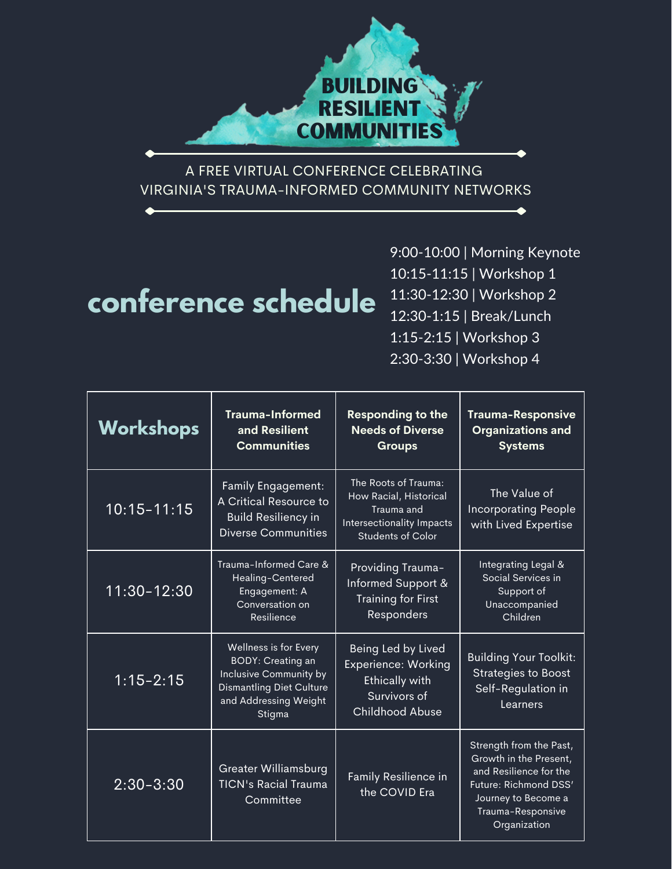

A FREE VIRTUAL CONFERENCE CELEBRATING VIRGINIA'S TRAUMA-INFORMED COMMUNITY NETWORKS

# **conference schedule**

9:00-10:00 | Morning Keynote 10:15-11:15 | Workshop 1 11:30-12:30 | Workshop 2 12:30-1:15 | Break/Lunch 1:15-2:15 | Workshop 3 2:30-3:30 | Workshop 4

| Workshops       | <b>Trauma-Informed</b><br>and Resilient<br><b>Communities</b>                                                                                     | <b>Responding to the</b><br><b>Needs of Diverse</b><br><b>Groups</b>                                                  | <b>Trauma-Responsive</b><br><b>Organizations and</b><br><b>Systems</b>                                                                                           |
|-----------------|---------------------------------------------------------------------------------------------------------------------------------------------------|-----------------------------------------------------------------------------------------------------------------------|------------------------------------------------------------------------------------------------------------------------------------------------------------------|
| $10:15 - 11:15$ | <b>Family Engagement:</b><br>A Critical Resource to<br><b>Build Resiliency in</b><br><b>Diverse Communities</b>                                   | The Roots of Trauma:<br>How Racial, Historical<br>Trauma and<br>Intersectionality Impacts<br><b>Students of Color</b> | The Value of<br><b>Incorporating People</b><br>with Lived Expertise                                                                                              |
| 11:30-12:30     | Trauma-Informed Care &<br>Healing-Centered<br>Engagement: A<br>Conversation on<br>Resilience                                                      | Providing Trauma-<br>Informed Support &<br><b>Training for First</b><br>Responders                                    | Integrating Legal &<br>Social Services in<br>Support of<br>Unaccompanied<br>Children                                                                             |
| $1:15 - 2:15$   | Wellness is for Every<br><b>BODY: Creating an</b><br>Inclusive Community by<br><b>Dismantling Diet Culture</b><br>and Addressing Weight<br>Stigma | Being Led by Lived<br><b>Experience: Working</b><br><b>Ethically with</b><br>Survivors of<br><b>Childhood Abuse</b>   | <b>Building Your Toolkit:</b><br><b>Strategies to Boost</b><br>Self-Regulation in<br>Learners                                                                    |
| $2:30 - 3:30$   | <b>Greater Williamsburg</b><br><b>TICN's Racial Trauma</b><br>Committee                                                                           | Family Resilience in<br>the COVID Era                                                                                 | Strength from the Past,<br>Growth in the Present,<br>and Resilience for the<br>Future: Richmond DSS'<br>Journey to Become a<br>Trauma-Responsive<br>Organization |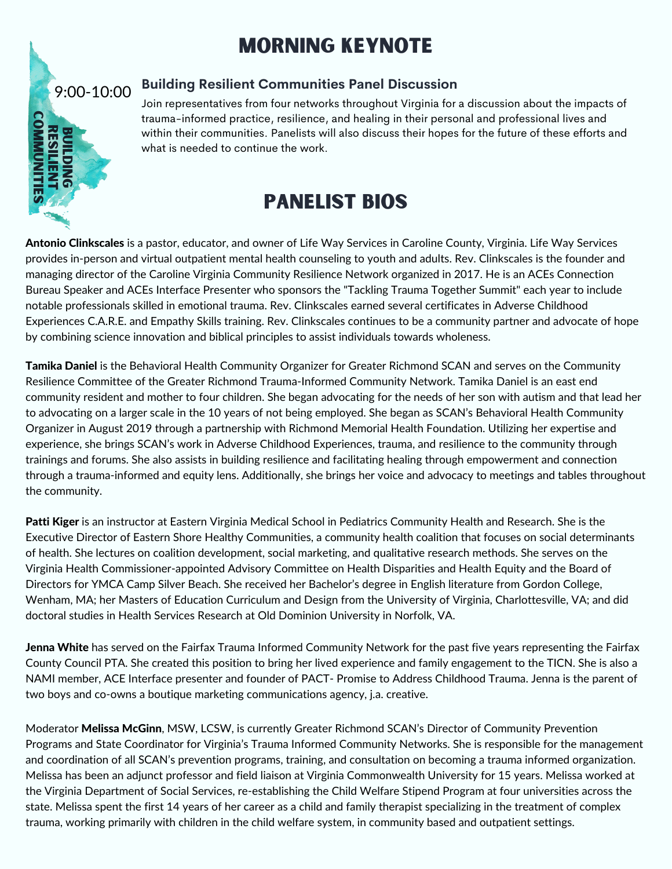## morning keynote



### **Building Resilient Communities Panel Discussion**

Join representatives from four networks throughout Virginia for a discussion about the impacts of trauma-informed practice, resilience, and healing in their personal and professional lives and within their communities. Panelists will also discuss their hopes for the future of these efforts and what is needed to continue the work.

## panelist bios

Antonio Clinkscales is a pastor, educator, and owner of Life Way Services in Caroline County, Virginia. Life Way Services provides in-person and virtual outpatient mental health counseling to youth and adults. Rev. Clinkscales is the founder and managing director of the Caroline Virginia Community Resilience Network organized in 2017. He is an ACEs Connection Bureau Speaker and ACEs Interface Presenter who sponsors the "Tackling Trauma Together Summit" each year to include notable professionals skilled in emotional trauma. Rev. Clinkscales earned several certificates in Adverse Childhood Experiences C.A.R.E. and Empathy Skills training. Rev. Clinkscales continues to be a community partner and advocate of hope by combining science innovation and biblical principles to assist individuals towards wholeness.

Tamika Daniel is the Behavioral Health Community Organizer for Greater Richmond SCAN and serves on the Community Resilience Committee of the Greater Richmond Trauma-Informed Community Network. Tamika Daniel is an east end community resident and mother to four children. She began advocating for the needs of her son with autism and that lead her to advocating on a larger scale in the 10 years of not being employed. She began as SCAN's Behavioral Health Community Organizer in August 2019 through a partnership with Richmond Memorial Health Foundation. Utilizing her expertise and experience, she brings SCAN's work in Adverse Childhood Experiences, trauma, and resilience to the community through trainings and forums. She also assists in building resilience and facilitating healing through empowerment and connection through a trauma-informed and equity lens. Additionally, she brings her voice and advocacy to meetings and tables throughout the community.

Patti Kiger is an instructor at Eastern Virginia Medical School in Pediatrics Community Health and Research. She is the Executive Director of Eastern Shore Healthy Communities, a community health coalition that focuses on social determinants of health. She lectures on coalition development, social marketing, and qualitative research methods. She serves on the Virginia Health Commissioner-appointed Advisory Committee on Health Disparities and Health Equity and the Board of Directors for YMCA Camp Silver Beach. She received her Bachelor's degree in English literature from Gordon College, Wenham, MA; her Masters of Education Curriculum and Design from the University of Virginia, Charlottesville, VA; and did doctoral studies in Health Services Research at Old Dominion University in Norfolk, VA.

Jenna White has served on the Fairfax Trauma Informed Community Network for the past five years representing the Fairfax County Council PTA. She created this position to bring her lived experience and family engagement to the TICN. She is also a NAMI member, ACE Interface presenter and founder of PACT- Promise to Address Childhood Trauma. Jenna is the parent of two boys and co-owns a boutique marketing communications agency, j.a. creative.

Moderator Melissa McGinn, MSW, LCSW, is currently Greater Richmond SCAN's Director of Community Prevention Programs and State Coordinator for Virginia's Trauma Informed Community Networks. She is responsible for the management and coordination of all SCAN's prevention programs, training, and consultation on becoming a trauma informed organization. Melissa has been an adjunct professor and field liaison at Virginia Commonwealth University for 15 years. Melissa worked at the Virginia Department of Social Services, re-establishing the Child Welfare Stipend Program at four universities across the state. Melissa spent the first 14 years of her career as a child and family therapist specializing in the treatment of complex trauma, working primarily with children in the child welfare system, in community based and outpatient settings.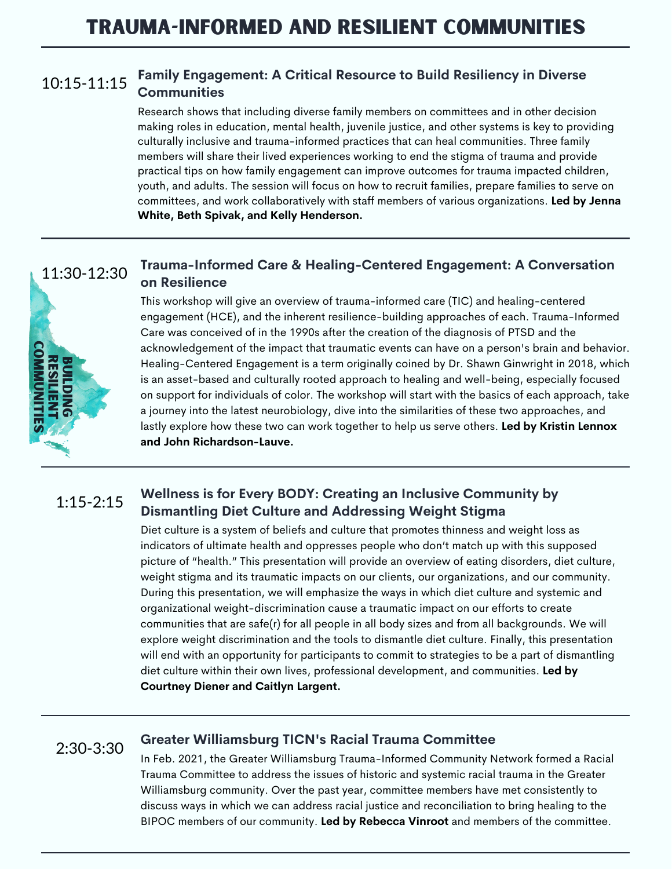#### **Family Engagement: A Critical Resource to Build Resiliency in Diverse Communities** 10:15-11:15

Research shows that including diverse family members on committees and in other decision making roles in education, mental health, juvenile justice, and other systems is key to providing culturally inclusive and trauma-informed practices that can heal communities. Three family members will share their lived experiences working to end the stigma of trauma and provide practical tips on how family engagement can improve outcomes for trauma impacted children, youth, and adults. The session will focus on how to recruit families, prepare families to serve on committees, and work collaboratively with staff members of various organizations. **Led by Jenna White, Beth Spivak, and Kelly Henderson.**

#### **Trauma-Informed Care & Healing-Centered Engagement: A Conversation on Resilience** 11:30-12:30



This workshop will give an overview of trauma-informed care (TIC) and healing-centered engagement (HCE), and the inherent resilience-building approaches of each. Trauma-Informed Care was conceived of in the 1990s after the creation of the diagnosis of PTSD and the acknowledgement of the impact that traumatic events can have on a person's brain and behavior. Healing-Centered Engagement is a term originally coined by Dr. Shawn Ginwright in 2018, which is an asset-based and culturally rooted approach to healing and well-being, especially focused on support for individuals of color. The workshop will start with the basics of each approach, take a journey into the latest neurobiology, dive into the similarities of these two approaches, and lastly explore how these two can work together to help us serve others. **Led by Kristin Lennox and John Richardson-Lauve.**

#### **Wellness is for Every BODY: Creating an Inclusive Community by Dismantling Diet Culture and Addressing Weight Stigma** 1:15-2:15

Diet culture is a system of beliefs and culture that promotes thinness and weight loss as indicators of ultimate health and oppresses people who don't match up with this supposed picture of "health." This presentation will provide an overview of eating disorders, diet culture, weight stigma and its traumatic impacts on our clients, our organizations, and our community. During this presentation, we will emphasize the ways in which diet culture and systemic and organizational weight-discrimination cause a traumatic impact on our efforts to create communities that are safe(r) for all people in all body sizes and from all backgrounds. We will explore weight discrimination and the tools to dismantle diet culture. Finally, this presentation will end with an opportunity for participants to commit to strategies to be a part of dismantling diet culture within their own lives, professional development, and communities. **Led by Courtney Diener and Caitlyn Largent.**

## 2:30-3:30

### **Greater Williamsburg TICN's Racial Trauma Committee**

In Feb. 2021, the Greater Williamsburg Trauma-Informed Community Network formed a Racial Trauma Committee to address the issues of historic and systemic racial trauma in the Greater Williamsburg community. Over the past year, committee members have met consistently to discuss ways in which we can address racial justice and reconciliation to bring healing to the BIPOC members of our community. **Led by Rebecca Vinroot** and members of the committee.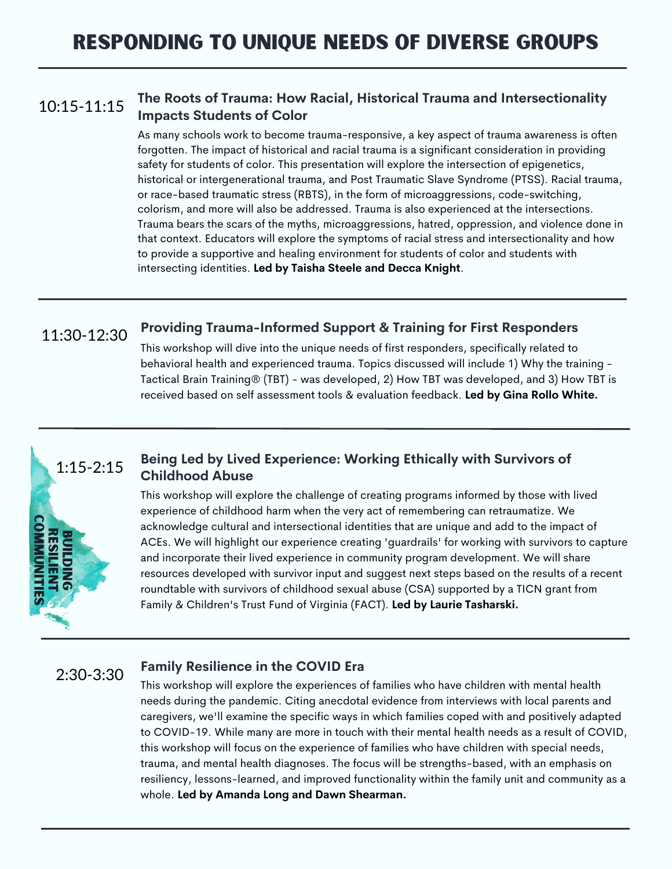#### **The Roots of Trauma: How Racial, Historical Trauma and Intersectionality Impacts Students of Color** 10:15-11:15

As many schools work to become trauma-responsive, a key aspect of trauma awareness is often forgotten. The impact of historical and racial trauma is a significant consideration in providing safety for students of color. This presentation will explore the intersection of epigenetics, historical or intergenerational trauma, and Post Traumatic Slave Syndrome (PTSS). Racial trauma, or race-based traumatic stress (RBTS), in the form of microaggressions, code-switching, colorism, and more will also be addressed. Trauma is also experienced at the intersections. Trauma bears the scars of the myths, microaggressions, hatred, oppression, and violence done in that context. Educators will explore the symptoms of racial stress and intersectionality and how to provide a supportive and healing environment for students of color and students with intersecting identities. **Led by Taisha Steele and Decca Knight**.

#### **Providing Trauma-Informed Support & Training for First Responders** 11:30-12:30

This workshop will dive into the unique needs of first responders, specifically related to behavioral health and experienced trauma. Topics discussed will include 1) Why the training - Tactical Brain Training® (TBT) - was developed, 2) How TBT was developed, and 3) How TBT is received based on self assessment tools & evaluation feedback. **Led by Gina Rollo White.**

#### **Being Led by Lived Experience: Working Ethically with Survivors of Childhood Abuse** 1:15-2:15

This workshop will explore the challenge of creating programs informed by those with lived experience of childhood harm when the very act of remembering can retraumatize. We acknowledge cultural and intersectional identities that are unique and add to the impact of ACEs. We will highlight our experience creating 'guardrails' for working with survivors to capture and incorporate their lived experience in community program development. We will share resources developed with survivor input and suggest next steps based on the results of a recent roundtable with survivors of childhood sexual abuse (CSA) supported by a TICN grant from Family & Children's Trust Fund of Virginia (FACT). **Led by Laurie Tasharski.**

## 2:30-3:30

 $\overline{\mathbf{v}}$ e i din<br>2 **get** 

**BUILDII**<br>RESILIE

**S** Z M Ž Μ ⊵ ee it **SI** 

2 S ᅴ <sup>ロ</sup>

### **Family Resilience in the COVID Era**

This workshop will explore the experiences of families who have children with mental health needs during the pandemic. Citing anecdotal evidence from interviews with local parents and caregivers, we'll examine the specific ways in which families coped with and positively adapted to COVID-19. While many are more in touch with their mental health needs as a result of COVID, this workshop will focus on the experience of families who have children with special needs, trauma, and mental health diagnoses. The focus will be strengths-based, with an emphasis on resiliency, lessons-learned, and improved functionality within the family unit and community as a whole. **Led by Amanda Long and Dawn Shearman.**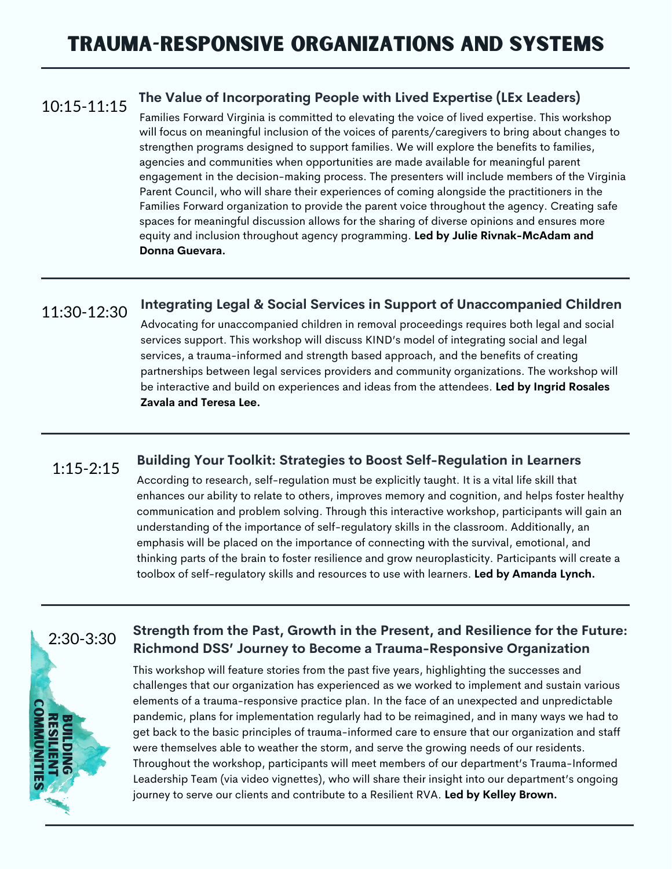#### **The Value of Incorporating People with Lived Expertise (LEx Leaders)** 10:15-11:15

Families Forward Virginia is committed to elevating the voice of lived expertise. This workshop will focus on meaningful inclusion of the voices of parents/caregivers to bring about changes to strengthen programs designed to support families. We will explore the benefits to families, agencies and communities when opportunities are made available for meaningful parent engagement in the decision-making process. The presenters will include members of the Virginia Parent Council, who will share their experiences of coming alongside the practitioners in the Families Forward organization to provide the parent voice throughout the agency. Creating safe spaces for meaningful discussion allows for the sharing of diverse opinions and ensures more equity and inclusion throughout agency programming. **Led by Julie Rivnak-McAdam and Donna Guevara.**

#### **Integrating Legal & Social Services in Support of Unaccompanied Children** 11:30-12:30

Advocating for unaccompanied children in removal proceedings requires both legal and social services support. This workshop will discuss KIND's model of integrating social and legal services, a trauma-informed and strength based approach, and the benefits of creating partnerships between legal services providers and community organizations. The workshop will be interactive and build on experiences and ideas from the attendees. **Led by Ingrid Rosales Zavala and Teresa Lee.**

#### **Building Your Toolkit: Strategies to Boost Self-Regulation in Learners** 1:15-2:15

According to research, self-regulation must be explicitly taught. It is a vital life skill that enhances our ability to relate to others, improves memory and cognition, and helps foster healthy communication and problem solving. Through this interactive workshop, participants will gain an understanding of the importance of self-regulatory skills in the classroom. Additionally, an emphasis will be placed on the importance of connecting with the survival, emotional, and thinking parts of the brain to foster resilience and grow neuroplasticity. Participants will create a toolbox of self-regulatory skills and resources to use with learners. **Led by Amanda Lynch.**



## **Strength from the Past, Growth in the Present, and Resilience for the Future: Richmond DSS' Journey to Become a Trauma-Responsive Organization**

This workshop will feature stories from the past five years, highlighting the successes and challenges that our organization has experienced as we worked to implement and sustain various elements of a trauma-responsive practice plan. In the face of an unexpected and unpredictable pandemic, plans for implementation regularly had to be reimagined, and in many ways we had to get back to the basic principles of trauma-informed care to ensure that our organization and staff were themselves able to weather the storm, and serve the growing needs of our residents. Throughout the workshop, participants will meet members of our department's Trauma-Informed Leadership Team (via video vignettes), who will share their insight into our department's ongoing journey to serve our clients and contribute to a Resilient RVA. **Led by Kelley Brown.**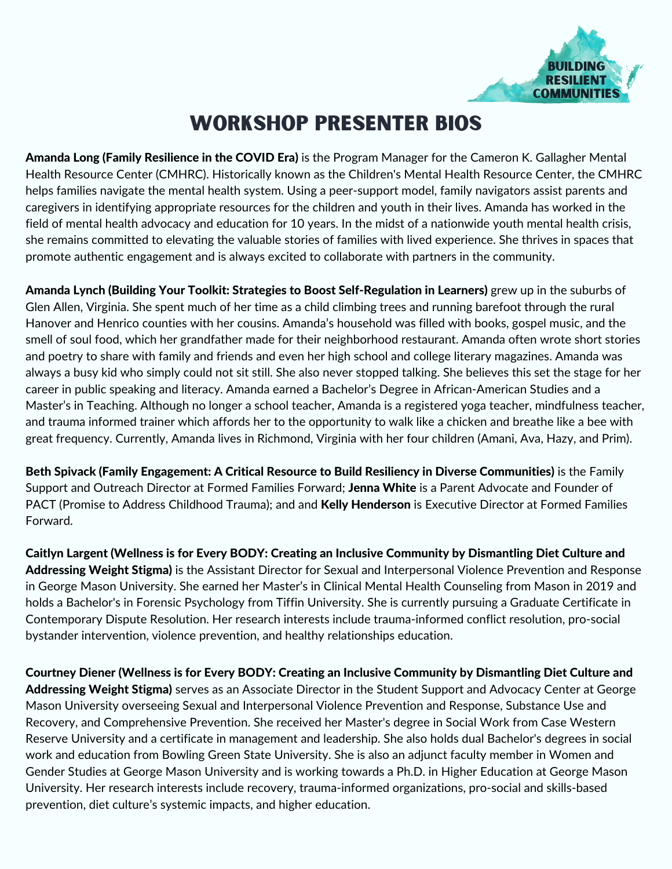

## workshop presenter bios

Amanda Long (Family Resilience in the COVID Era) is the Program Manager for the Cameron K. Gallagher Mental Health Resource Center (CMHRC). Historically known as the Children's Mental Health Resource Center, the CMHRC helps families navigate the mental health system. Using a peer-support model, family navigators assist parents and caregivers in identifying appropriate resources for the children and youth in their lives. Amanda has worked in the field of mental health advocacy and education for 10 years. In the midst of a nationwide youth mental health crisis, she remains committed to elevating the valuable stories of families with lived experience. She thrives in spaces that promote authentic engagement and is always excited to collaborate with partners in the community.

Amanda Lynch (Building Your Toolkit: Strategies to Boost Self-Regulation in Learners) grew up in the suburbs of Glen Allen, Virginia. She spent much of her time as a child climbing trees and running barefoot through the rural Hanover and Henrico counties with her cousins. Amanda's household was filled with books, gospel music, and the smell of soul food, which her grandfather made for their neighborhood restaurant. Amanda often wrote short stories and poetry to share with family and friends and even her high school and college literary magazines. Amanda was always a busy kid who simply could not sit still. She also never stopped talking. She believes this set the stage for her career in public speaking and literacy. Amanda earned a Bachelor's Degree in African-American Studies and a Master's in Teaching. Although no longer a school teacher, Amanda is a registered yoga teacher, mindfulness teacher, and trauma informed trainer which affords her to the opportunity to walk like a chicken and breathe like a bee with great frequency. Currently, Amanda lives in Richmond, Virginia with her four children (Amani, Ava, Hazy, and Prim).

Beth Spivack (Family Engagement: A Critical Resource to Build Resiliency in Diverse Communities) is the Family Support and Outreach Director at Formed Families Forward; Jenna White is a Parent Advocate and Founder of PACT (Promise to Address Childhood Trauma); and and Kelly Henderson is Executive Director at Formed Families Forward.

Caitlyn Largent (Wellness is for Every BODY: Creating an Inclusive Community by Dismantling Diet Culture and Addressing Weight Stigma) is the Assistant Director for Sexual and Interpersonal Violence Prevention and Response in George Mason University. She earned her Master's in Clinical Mental Health Counseling from Mason in 2019 and holds a Bachelor's in Forensic Psychology from Tiffin University. She is currently pursuing a Graduate Certificate in Contemporary Dispute Resolution. Her research interests include trauma-informed conflict resolution, pro-social bystander intervention, violence prevention, and healthy relationships education.

Courtney Diener (Wellness is for Every BODY: Creating an Inclusive Community by Dismantling Diet Culture and Addressing Weight Stigma) serves as an Associate Director in the Student Support and Advocacy Center at George Mason University overseeing Sexual and Interpersonal Violence Prevention and Response, Substance Use and Recovery, and Comprehensive Prevention. She received her Master's degree in Social Work from Case Western Reserve University and a certificate in management and leadership. She also holds dual Bachelor's degrees in social work and education from Bowling Green State University. She is also an adjunct faculty member in Women and Gender Studies at George Mason University and is working towards a Ph.D. in Higher Education at George Mason University. Her research interests include recovery, trauma-informed organizations, pro-social and skills-based prevention, diet culture's systemic impacts, and higher education.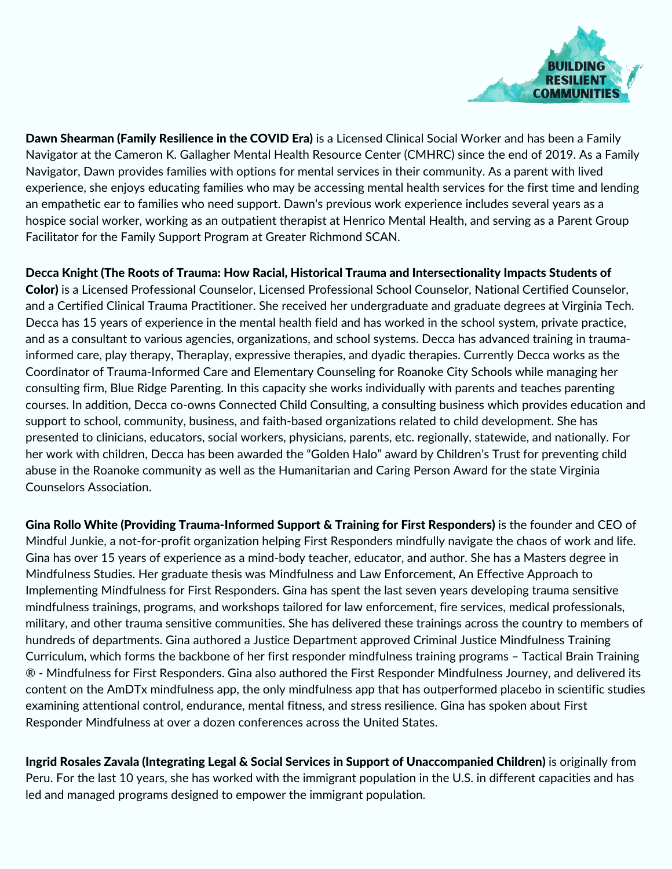

Dawn Shearman (Family Resilience in the COVID Era) is a Licensed Clinical Social Worker and has been a Family Navigator at the Cameron K. Gallagher Mental Health Resource Center (CMHRC) since the end of 2019. As a Family Navigator, Dawn provides families with options for mental services in their community. As a parent with lived experience, she enjoys educating families who may be accessing mental health services for the first time and lending an empathetic ear to families who need support. Dawn's previous work experience includes several years as a hospice social worker, working as an outpatient therapist at Henrico Mental Health, and serving as a Parent Group Facilitator for the Family Support Program at Greater Richmond SCAN.

Decca Knight (The Roots of Trauma: How Racial, Historical Trauma and Intersectionality Impacts Students of Color) is a Licensed Professional Counselor, Licensed Professional School Counselor, National Certified Counselor, and a Certified Clinical Trauma Practitioner. She received her undergraduate and graduate degrees at Virginia Tech. Decca has 15 years of experience in the mental health field and has worked in the school system, private practice, and as a consultant to various agencies, organizations, and school systems. Decca has advanced training in traumainformed care, play therapy, Theraplay, expressive therapies, and dyadic therapies. Currently Decca works as the Coordinator of Trauma-Informed Care and Elementary Counseling for Roanoke City Schools while managing her consulting firm, Blue Ridge Parenting. In this capacity she works individually with parents and teaches parenting courses. In addition, Decca co-owns Connected Child Consulting, a consulting business which provides education and support to school, community, business, and faith-based organizations related to child development. She has presented to clinicians, educators, social workers, physicians, parents, etc. regionally, statewide, and nationally. For her work with children, Decca has been awarded the "Golden Halo" award by Children's Trust for preventing child abuse in the Roanoke community as well as the Humanitarian and Caring Person Award for the state Virginia Counselors Association.

Gina Rollo White (Providing Trauma-Informed Support & Training for First Responders) is the founder and CEO of Mindful Junkie, a not-for-profit organization helping First Responders mindfully navigate the chaos of work and life. Gina has over 15 years of experience as a mind-body teacher, educator, and author. She has a Masters degree in Mindfulness Studies. Her graduate thesis was Mindfulness and Law Enforcement, An Effective Approach to Implementing Mindfulness for First Responders. Gina has spent the last seven years developing trauma sensitive mindfulness trainings, programs, and workshops tailored for law enforcement, fire services, medical professionals, military, and other trauma sensitive communities. She has delivered these trainings across the country to members of hundreds of departments. Gina authored a Justice Department approved Criminal Justice Mindfulness Training Curriculum, which forms the backbone of her first responder mindfulness training programs – Tactical Brain Training ® - Mindfulness for First Responders. Gina also authored the First Responder Mindfulness Journey, and delivered its content on the AmDTx mindfulness app, the only mindfulness app that has outperformed placebo in scientific studies examining attentional control, endurance, mental fitness, and stress resilience. Gina has spoken about First Responder Mindfulness at over a dozen conferences across the United States.

Ingrid Rosales Zavala (Integrating Legal & Social Services in Support of Unaccompanied Children) is originally from Peru. For the last 10 years, she has worked with the immigrant population in the U.S. in different capacities and has led and managed programs designed to empower the immigrant population.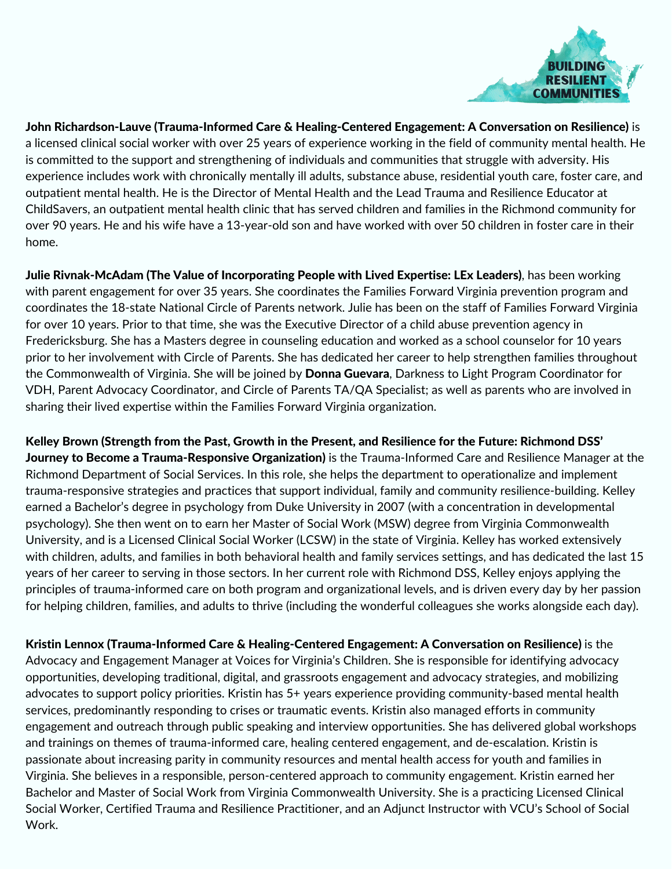

John Richardson-Lauve (Trauma-Informed Care & Healing-Centered Engagement: A Conversation on Resilience) is a licensed clinical social worker with over 25 years of experience working in the field of community mental health. He is committed to the support and strengthening of individuals and communities that struggle with adversity. His experience includes work with chronically mentally ill adults, substance abuse, residential youth care, foster care, and outpatient mental health. He is the Director of Mental Health and the Lead Trauma and Resilience Educator at ChildSavers, an outpatient mental health clinic that has served children and families in the Richmond community for over 90 years. He and his wife have a 13-year-old son and have worked with over 50 children in foster care in their home.

Julie Rivnak-McAdam (The Value of Incorporating People with Lived Expertise: LEx Leaders), has been working with parent engagement for over 35 years. She coordinates the Families Forward Virginia prevention program and coordinates the 18-state National Circle of Parents network. Julie has been on the staff of Families Forward Virginia for over 10 years. Prior to that time, she was the Executive Director of a child abuse prevention agency in Fredericksburg. She has a Masters degree in counseling education and worked as a school counselor for 10 years prior to her involvement with Circle of Parents. She has dedicated her career to help strengthen families throughout the Commonwealth of Virginia. She will be joined by **Donna Guevara**, Darkness to Light Program Coordinator for VDH, Parent Advocacy Coordinator, and Circle of Parents TA/QA Specialist; as well as parents who are involved in sharing their lived expertise within the Families Forward Virginia organization.

Kelley Brown (Strength from the Past, Growth in the Present, and Resilience for the Future: Richmond DSS' Journey to Become a Trauma-Responsive Organization) is the Trauma-Informed Care and Resilience Manager at the Richmond Department of Social Services. In this role, she helps the department to operationalize and implement trauma-responsive strategies and practices that support individual, family and community resilience-building. Kelley earned a Bachelor's degree in psychology from Duke University in 2007 (with a concentration in developmental psychology). She then went on to earn her Master of Social Work (MSW) degree from Virginia Commonwealth University, and is a Licensed Clinical Social Worker (LCSW) in the state of Virginia. Kelley has worked extensively with children, adults, and families in both behavioral health and family services settings, and has dedicated the last 15 years of her career to serving in those sectors. In her current role with Richmond DSS, Kelley enjoys applying the principles of trauma-informed care on both program and organizational levels, and is driven every day by her passion for helping children, families, and adults to thrive (including the wonderful colleagues she works alongside each day).

Kristin Lennox (Trauma-Informed Care & Healing-Centered Engagement: A Conversation on Resilience) is the Advocacy and Engagement Manager at Voices for Virginia's Children. She is responsible for identifying advocacy opportunities, developing traditional, digital, and grassroots engagement and advocacy strategies, and mobilizing advocates to support policy priorities. Kristin has 5+ years experience providing community-based mental health services, predominantly responding to crises or traumatic events. Kristin also managed efforts in community engagement and outreach through public speaking and interview opportunities. She has delivered global workshops and trainings on themes of trauma-informed care, healing centered engagement, and de-escalation. Kristin is passionate about increasing parity in community resources and mental health access for youth and families in Virginia. She believes in a responsible, person-centered approach to community engagement. Kristin earned her Bachelor and Master of Social Work from Virginia Commonwealth University. She is a practicing Licensed Clinical Social Worker, Certified Trauma and Resilience Practitioner, and an Adjunct Instructor with VCU's School of Social Work.